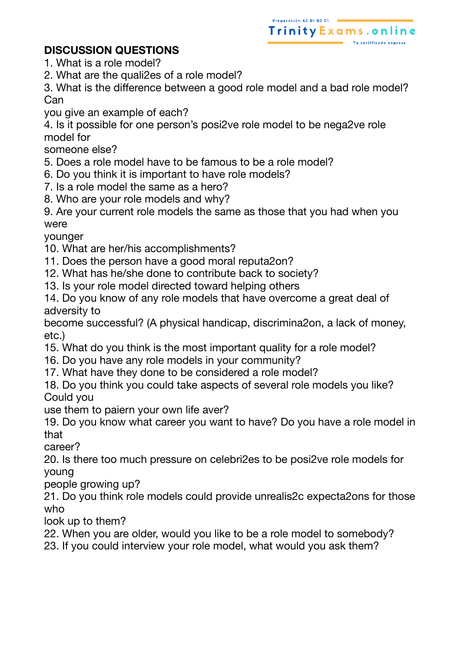## **DISCUSSION QUESTIONS**

- 1. What is a role model?
- 2. What are the quali2es of a role model?

3. What is the difference between a good role model and a bad role model? Can

Preparación A2 B1 B2 C1

Trinity Exams, online

you give an example of each?

4. Is it possible for one person's posi2ve role model to be nega2ve role model for

someone else?

- 5. Does a role model have to be famous to be a role model?
- 6. Do you think it is important to have role models?
- 7. Is a role model the same as a hero?
- 8. Who are your role models and why?

9. Are your current role models the same as those that you had when you were

younger

- 10. What are her/his accomplishments?
- 11. Does the person have a good moral reputa2on?
- 12. What has he/she done to contribute back to society?
- 13. Is your role model directed toward helping others

14. Do you know of any role models that have overcome a great deal of adversity to

become successful? (A physical handicap, discrimina2on, a lack of money, etc.)

- 15. What do you think is the most important quality for a role model?
- 16. Do you have any role models in your community?
- 17. What have they done to be considered a role model?
- 18. Do you think you could take aspects of several role models you like? Could you

use them to paiern your own life aver?

19. Do you know what career you want to have? Do you have a role model in that

career?

20. Is there too much pressure on celebri2es to be posi2ve role models for young

people growing up?

21. Do you think role models could provide unrealis2c expecta2ons for those who

look up to them?

22. When you are older, would you like to be a role model to somebody?

23. If you could interview your role model, what would you ask them?